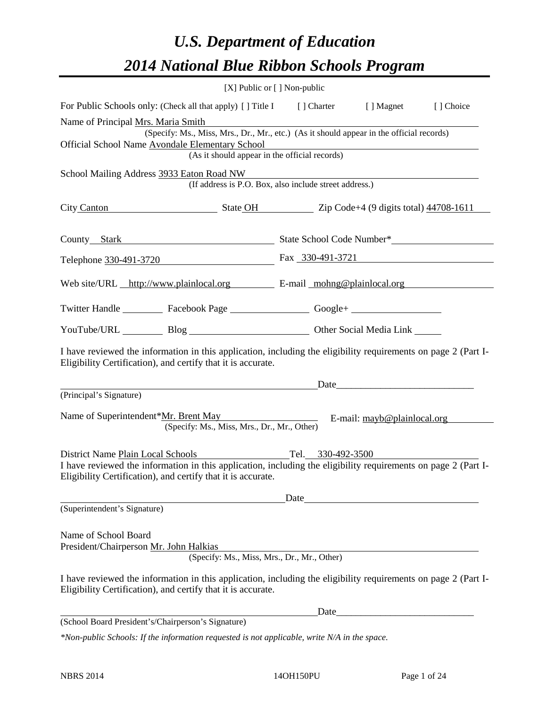# *U.S. Department of Education 2014 National Blue Ribbon Schools Program*

|                                                                      |                                                                                                                                                                                | [X] Public or [] Non-public |                                                                                                                                                                                                                                |           |  |  |
|----------------------------------------------------------------------|--------------------------------------------------------------------------------------------------------------------------------------------------------------------------------|-----------------------------|--------------------------------------------------------------------------------------------------------------------------------------------------------------------------------------------------------------------------------|-----------|--|--|
|                                                                      | For Public Schools only: (Check all that apply) [] Title I [] Charter [] Magnet                                                                                                |                             |                                                                                                                                                                                                                                | [] Choice |  |  |
| Name of Principal Mrs. Maria Smith                                   |                                                                                                                                                                                |                             |                                                                                                                                                                                                                                |           |  |  |
|                                                                      | (Specify: Ms., Miss, Mrs., Dr., Mr., etc.) (As it should appear in the official records)<br>Official School Name Avondale Elementary School                                    |                             |                                                                                                                                                                                                                                |           |  |  |
|                                                                      | Elementary School<br>(As it should appear in the official records)                                                                                                             |                             |                                                                                                                                                                                                                                |           |  |  |
|                                                                      | School Mailing Address 3933 Eaton Road NW<br>(If address is P.O. Box, also include street address.)                                                                            |                             |                                                                                                                                                                                                                                |           |  |  |
| City Canton State OH State OH Zip Code+4 (9 digits total) 44708-1611 |                                                                                                                                                                                |                             |                                                                                                                                                                                                                                |           |  |  |
|                                                                      | County_Stark County_Stark County_Stark County_State School Code Number*                                                                                                        |                             |                                                                                                                                                                                                                                |           |  |  |
|                                                                      | Telephone 330-491-3720 Fax 330-491-3721                                                                                                                                        |                             |                                                                                                                                                                                                                                |           |  |  |
|                                                                      | Web site/URL http://www.plainlocal.org E-mail mohng@plainlocal.org                                                                                                             |                             |                                                                                                                                                                                                                                |           |  |  |
|                                                                      | Twitter Handle ___________ Facebook Page ___________________ Google+ ____________                                                                                              |                             |                                                                                                                                                                                                                                |           |  |  |
|                                                                      | YouTube/URL Blog Blog Discount Cher Social Media Link                                                                                                                          |                             |                                                                                                                                                                                                                                |           |  |  |
|                                                                      | I have reviewed the information in this application, including the eligibility requirements on page 2 (Part I-<br>Eligibility Certification), and certify that it is accurate. |                             |                                                                                                                                                                                                                                |           |  |  |
|                                                                      |                                                                                                                                                                                |                             | Date and the contract of the contract of the contract of the contract of the contract of the contract of the contract of the contract of the contract of the contract of the contract of the contract of the contract of the c |           |  |  |
| (Principal's Signature)                                              |                                                                                                                                                                                |                             |                                                                                                                                                                                                                                |           |  |  |
| Name of Superintendent*Mr. Brent May                                 | (Specify: Ms., Miss, Mrs., Dr., Mr., Other)                                                                                                                                    |                             | E-mail: mayb@plainlocal.org                                                                                                                                                                                                    |           |  |  |
| District Name Plain Local Schools                                    |                                                                                                                                                                                | Tel. 330-492-3500           |                                                                                                                                                                                                                                |           |  |  |
|                                                                      | I have reviewed the information in this application, including the eligibility requirements on page 2 (Part I-<br>Eligibility Certification), and certify that it is accurate. |                             |                                                                                                                                                                                                                                |           |  |  |
|                                                                      |                                                                                                                                                                                | Date                        |                                                                                                                                                                                                                                |           |  |  |
| (Superintendent's Signature)                                         |                                                                                                                                                                                |                             |                                                                                                                                                                                                                                |           |  |  |
| Name of School Board<br>President/Chairperson Mr. John Halkias       |                                                                                                                                                                                |                             |                                                                                                                                                                                                                                |           |  |  |
|                                                                      | (Specify: Ms., Miss, Mrs., Dr., Mr., Other)                                                                                                                                    |                             |                                                                                                                                                                                                                                |           |  |  |
|                                                                      | I have reviewed the information in this application, including the eligibility requirements on page 2 (Part I-<br>Eligibility Certification), and certify that it is accurate. |                             |                                                                                                                                                                                                                                |           |  |  |
|                                                                      |                                                                                                                                                                                | Date                        |                                                                                                                                                                                                                                |           |  |  |
|                                                                      | (School Board President's/Chairperson's Signature)                                                                                                                             |                             |                                                                                                                                                                                                                                |           |  |  |
|                                                                      | *Non-public Schools: If the information requested is not applicable, write $N/A$ in the space                                                                                  |                             |                                                                                                                                                                                                                                |           |  |  |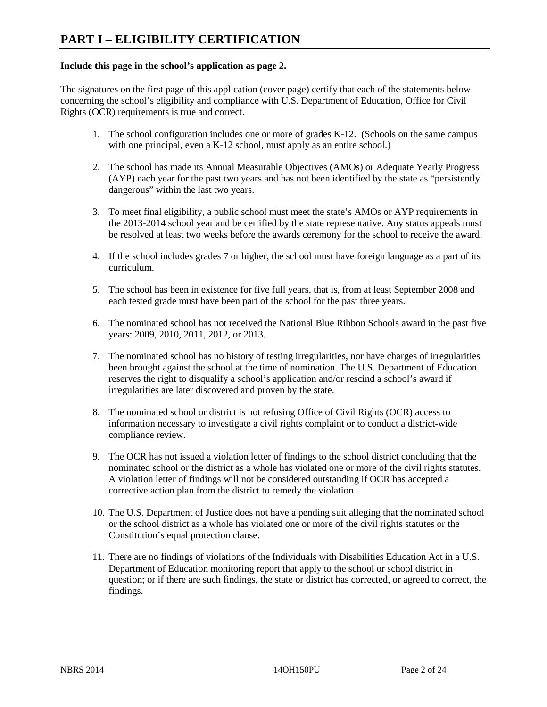#### **Include this page in the school's application as page 2.**

The signatures on the first page of this application (cover page) certify that each of the statements below concerning the school's eligibility and compliance with U.S. Department of Education, Office for Civil Rights (OCR) requirements is true and correct.

- 1. The school configuration includes one or more of grades K-12. (Schools on the same campus with one principal, even a K-12 school, must apply as an entire school.)
- 2. The school has made its Annual Measurable Objectives (AMOs) or Adequate Yearly Progress (AYP) each year for the past two years and has not been identified by the state as "persistently dangerous" within the last two years.
- 3. To meet final eligibility, a public school must meet the state's AMOs or AYP requirements in the 2013-2014 school year and be certified by the state representative. Any status appeals must be resolved at least two weeks before the awards ceremony for the school to receive the award.
- 4. If the school includes grades 7 or higher, the school must have foreign language as a part of its curriculum.
- 5. The school has been in existence for five full years, that is, from at least September 2008 and each tested grade must have been part of the school for the past three years.
- 6. The nominated school has not received the National Blue Ribbon Schools award in the past five years: 2009, 2010, 2011, 2012, or 2013.
- 7. The nominated school has no history of testing irregularities, nor have charges of irregularities been brought against the school at the time of nomination. The U.S. Department of Education reserves the right to disqualify a school's application and/or rescind a school's award if irregularities are later discovered and proven by the state.
- 8. The nominated school or district is not refusing Office of Civil Rights (OCR) access to information necessary to investigate a civil rights complaint or to conduct a district-wide compliance review.
- 9. The OCR has not issued a violation letter of findings to the school district concluding that the nominated school or the district as a whole has violated one or more of the civil rights statutes. A violation letter of findings will not be considered outstanding if OCR has accepted a corrective action plan from the district to remedy the violation.
- 10. The U.S. Department of Justice does not have a pending suit alleging that the nominated school or the school district as a whole has violated one or more of the civil rights statutes or the Constitution's equal protection clause.
- 11. There are no findings of violations of the Individuals with Disabilities Education Act in a U.S. Department of Education monitoring report that apply to the school or school district in question; or if there are such findings, the state or district has corrected, or agreed to correct, the findings.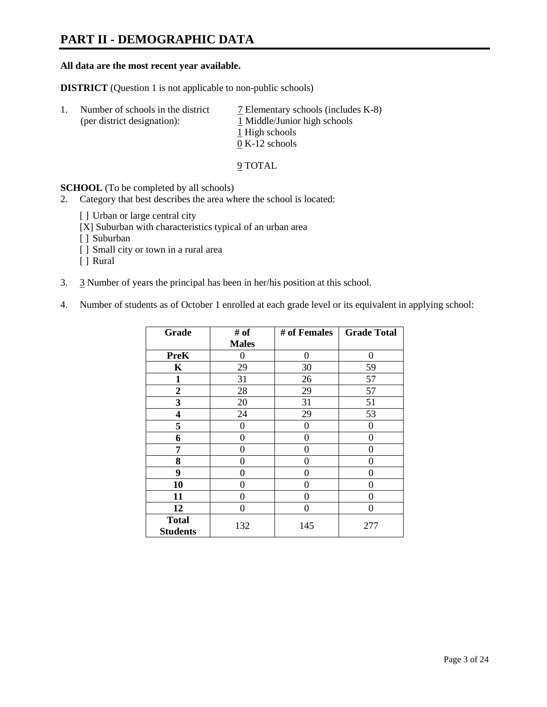### **PART II - DEMOGRAPHIC DATA**

#### **All data are the most recent year available.**

**DISTRICT** (Question 1 is not applicable to non-public schools)

| 1. | Number of schools in the district<br>(per district designation): | 7 Elementary schools (includes K-8)<br>1 Middle/Junior high schools<br>1 High schools<br>$0 K-12$ schools |
|----|------------------------------------------------------------------|-----------------------------------------------------------------------------------------------------------|
|    |                                                                  |                                                                                                           |

9 TOTAL

**SCHOOL** (To be completed by all schools)

- 2. Category that best describes the area where the school is located:
	- [ ] Urban or large central city
	- [X] Suburban with characteristics typical of an urban area
	- [ ] Suburban
	- [ ] Small city or town in a rural area
	- [ ] Rural
- 3. 3 Number of years the principal has been in her/his position at this school.
- 4. Number of students as of October 1 enrolled at each grade level or its equivalent in applying school:

| Grade                           | # of         | # of Females | <b>Grade Total</b> |
|---------------------------------|--------------|--------------|--------------------|
|                                 | <b>Males</b> |              |                    |
| <b>PreK</b>                     | 0            | $\theta$     | 0                  |
| K                               | 29           | 30           | 59                 |
| $\mathbf{1}$                    | 31           | 26           | 57                 |
| $\mathbf{2}$                    | 28           | 29           | 57                 |
| 3                               | 20           | 31           | 51                 |
| 4                               | 24           | 29           | 53                 |
| 5                               | 0            | 0            | $\theta$           |
| 6                               | 0            | $\Omega$     | 0                  |
| 7                               | 0            | 0            | 0                  |
| 8                               | 0            | 0            | 0                  |
| 9                               | 0            | $\Omega$     | 0                  |
| 10                              | 0            | 0            | 0                  |
| 11                              | 0            | 0            | 0                  |
| 12                              | 0            | 0            | 0                  |
| <b>Total</b><br><b>Students</b> | 132          | 145          | 277                |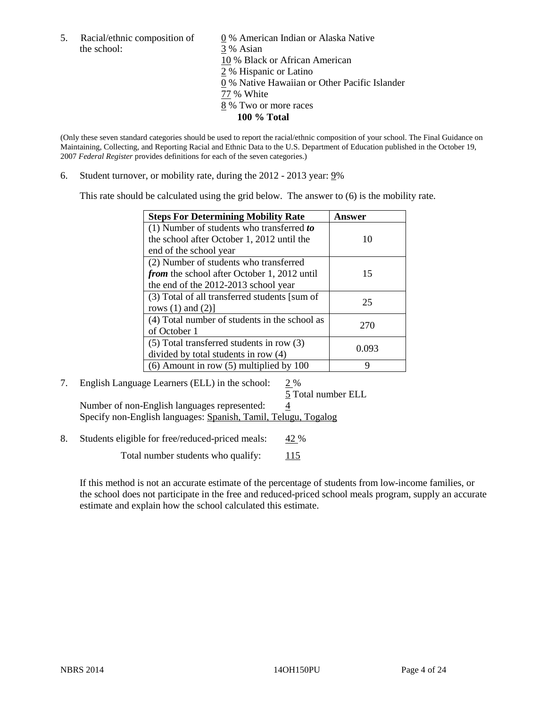the school: 3 % Asian

5. Racial/ethnic composition of  $\qquad \qquad \underline{0}$  % American Indian or Alaska Native 10 % Black or African American 2 % Hispanic or Latino 0 % Native Hawaiian or Other Pacific Islander 77 % White 8 % Two or more races **100 % Total**

(Only these seven standard categories should be used to report the racial/ethnic composition of your school. The Final Guidance on Maintaining, Collecting, and Reporting Racial and Ethnic Data to the U.S. Department of Education published in the October 19, 2007 *Federal Register* provides definitions for each of the seven categories.)

6. Student turnover, or mobility rate, during the 2012 - 2013 year: 9%

This rate should be calculated using the grid below. The answer to (6) is the mobility rate.

| <b>Steps For Determining Mobility Rate</b>    | Answer |
|-----------------------------------------------|--------|
| (1) Number of students who transferred to     |        |
| the school after October 1, 2012 until the    | 10     |
| end of the school year                        |        |
| (2) Number of students who transferred        |        |
| from the school after October 1, 2012 until   | 15     |
| the end of the 2012-2013 school year          |        |
| (3) Total of all transferred students [sum of | 25     |
| rows $(1)$ and $(2)$ ]                        |        |
| (4) Total number of students in the school as | 270    |
| of October 1                                  |        |
| (5) Total transferred students in row (3)     | 0.093  |
| divided by total students in row (4)          |        |
| $(6)$ Amount in row $(5)$ multiplied by 100   | Q      |

### 7. English Language Learners (ELL) in the school: 2 %

5 Total number ELL Number of non-English languages represented:  $\frac{4}{3}$ Specify non-English languages: Spanish, Tamil, Telugu, Togalog

8. Students eligible for free/reduced-priced meals: 42 %

Total number students who qualify:  $115$ 

If this method is not an accurate estimate of the percentage of students from low-income families, or the school does not participate in the free and reduced-priced school meals program, supply an accurate estimate and explain how the school calculated this estimate.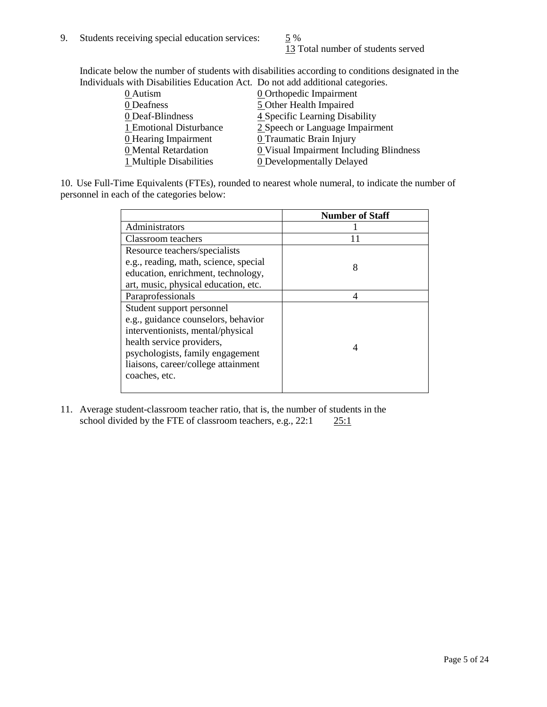13 Total number of students served

Indicate below the number of students with disabilities according to conditions designated in the Individuals with Disabilities Education Act. Do not add additional categories.

| 0 Autism                | <b>0</b> Orthopedic Impairment                        |
|-------------------------|-------------------------------------------------------|
| 0 Deafness              | 5 Other Health Impaired                               |
| 0 Deaf-Blindness        | 4 Specific Learning Disability                        |
| 1 Emotional Disturbance | 2 Speech or Language Impairment                       |
| 0 Hearing Impairment    | 0 Traumatic Brain Injury                              |
| 0 Mental Retardation    | $\underline{0}$ Visual Impairment Including Blindness |
| 1 Multiple Disabilities | <b>0</b> Developmentally Delayed                      |
|                         |                                                       |

10. Use Full-Time Equivalents (FTEs), rounded to nearest whole numeral, to indicate the number of personnel in each of the categories below:

|                                       | <b>Number of Staff</b> |
|---------------------------------------|------------------------|
| Administrators                        |                        |
| Classroom teachers                    |                        |
| Resource teachers/specialists         |                        |
| e.g., reading, math, science, special | 8                      |
| education, enrichment, technology,    |                        |
| art, music, physical education, etc.  |                        |
| Paraprofessionals                     | 4                      |
| Student support personnel             |                        |
| e.g., guidance counselors, behavior   |                        |
| interventionists, mental/physical     |                        |
| health service providers,             | 4                      |
| psychologists, family engagement      |                        |
| liaisons, career/college attainment   |                        |
| coaches, etc.                         |                        |
|                                       |                        |

11. Average student-classroom teacher ratio, that is, the number of students in the school divided by the FTE of classroom teachers, e.g.,  $22:1$   $25:1$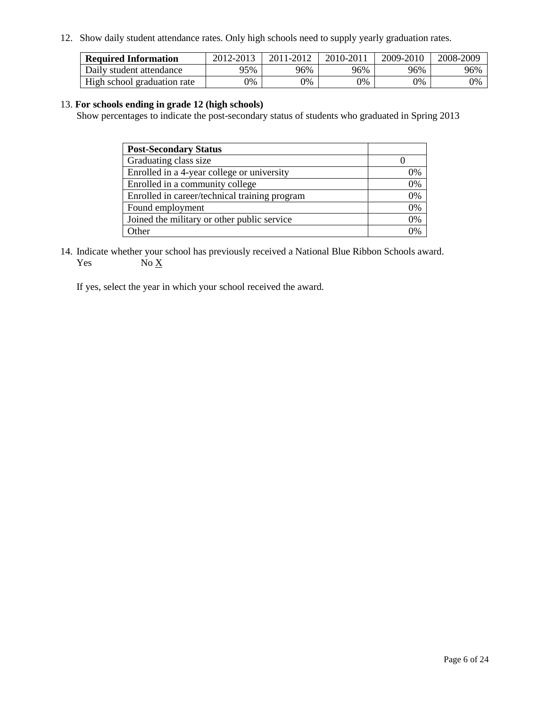12. Show daily student attendance rates. Only high schools need to supply yearly graduation rates.

| <b>Required Information</b> | 2012-2013 | 2011-2012 | 2010-2011 | 2009-2010 | 2008-2009 |
|-----------------------------|-----------|-----------|-----------|-----------|-----------|
| Daily student attendance    | 95%       | 96%       | 96%       | 96%       | 96%       |
| High school graduation rate | 9%        | 9%        | 0%        | 0%        | 0%        |

#### 13. **For schools ending in grade 12 (high schools)**

Show percentages to indicate the post-secondary status of students who graduated in Spring 2013

| <b>Post-Secondary Status</b>                  |          |
|-----------------------------------------------|----------|
| Graduating class size                         |          |
| Enrolled in a 4-year college or university    | 0%       |
| Enrolled in a community college               | 0%       |
| Enrolled in career/technical training program | 0%       |
| Found employment                              | 0%       |
| Joined the military or other public service   | 0%       |
| . Other                                       | $\gamma$ |

14. Indicate whether your school has previously received a National Blue Ribbon Schools award. Yes  $No X$ 

If yes, select the year in which your school received the award.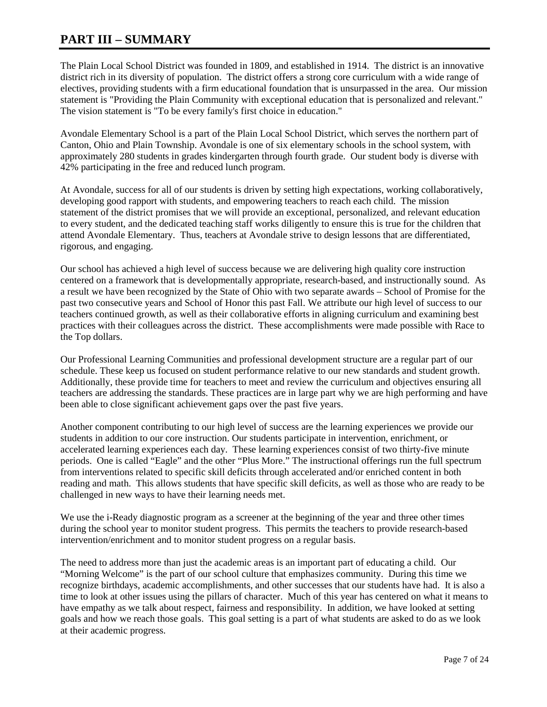### **PART III – SUMMARY**

The Plain Local School District was founded in 1809, and established in 1914. The district is an innovative district rich in its diversity of population. The district offers a strong core curriculum with a wide range of electives, providing students with a firm educational foundation that is unsurpassed in the area. Our mission statement is "Providing the Plain Community with exceptional education that is personalized and relevant." The vision statement is "To be every family's first choice in education."

Avondale Elementary School is a part of the Plain Local School District, which serves the northern part of Canton, Ohio and Plain Township. Avondale is one of six elementary schools in the school system, with approximately 280 students in grades kindergarten through fourth grade. Our student body is diverse with 42% participating in the free and reduced lunch program.

At Avondale, success for all of our students is driven by setting high expectations, working collaboratively, developing good rapport with students, and empowering teachers to reach each child. The mission statement of the district promises that we will provide an exceptional, personalized, and relevant education to every student, and the dedicated teaching staff works diligently to ensure this is true for the children that attend Avondale Elementary. Thus, teachers at Avondale strive to design lessons that are differentiated, rigorous, and engaging.

Our school has achieved a high level of success because we are delivering high quality core instruction centered on a framework that is developmentally appropriate, research-based, and instructionally sound. As a result we have been recognized by the State of Ohio with two separate awards – School of Promise for the past two consecutive years and School of Honor this past Fall. We attribute our high level of success to our teachers continued growth, as well as their collaborative efforts in aligning curriculum and examining best practices with their colleagues across the district. These accomplishments were made possible with Race to the Top dollars.

Our Professional Learning Communities and professional development structure are a regular part of our schedule. These keep us focused on student performance relative to our new standards and student growth. Additionally, these provide time for teachers to meet and review the curriculum and objectives ensuring all teachers are addressing the standards. These practices are in large part why we are high performing and have been able to close significant achievement gaps over the past five years.

Another component contributing to our high level of success are the learning experiences we provide our students in addition to our core instruction. Our students participate in intervention, enrichment, or accelerated learning experiences each day. These learning experiences consist of two thirty-five minute periods. One is called "Eagle" and the other "Plus More." The instructional offerings run the full spectrum from interventions related to specific skill deficits through accelerated and/or enriched content in both reading and math. This allows students that have specific skill deficits, as well as those who are ready to be challenged in new ways to have their learning needs met.

We use the i-Ready diagnostic program as a screener at the beginning of the year and three other times during the school year to monitor student progress. This permits the teachers to provide research-based intervention/enrichment and to monitor student progress on a regular basis.

The need to address more than just the academic areas is an important part of educating a child. Our "Morning Welcome" is the part of our school culture that emphasizes community. During this time we recognize birthdays, academic accomplishments, and other successes that our students have had. It is also a time to look at other issues using the pillars of character. Much of this year has centered on what it means to have empathy as we talk about respect, fairness and responsibility. In addition, we have looked at setting goals and how we reach those goals. This goal setting is a part of what students are asked to do as we look at their academic progress.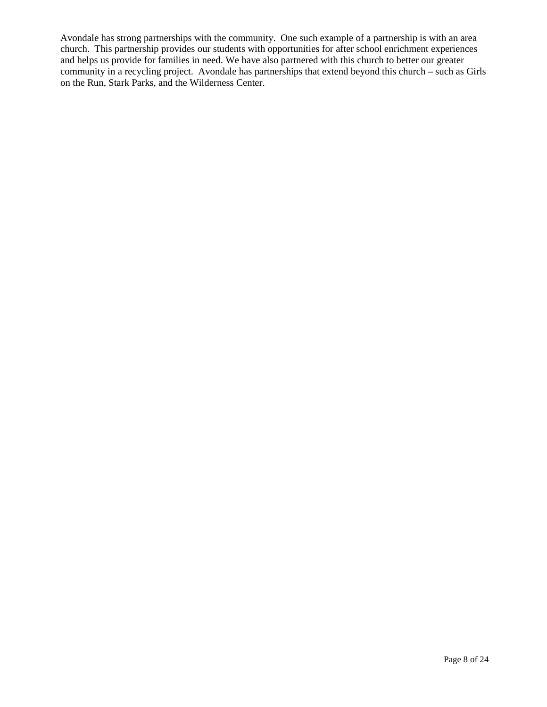Avondale has strong partnerships with the community. One such example of a partnership is with an area church. This partnership provides our students with opportunities for after school enrichment experiences and helps us provide for families in need. We have also partnered with this church to better our greater community in a recycling project. Avondale has partnerships that extend beyond this church – such as Girls on the Run, Stark Parks, and the Wilderness Center.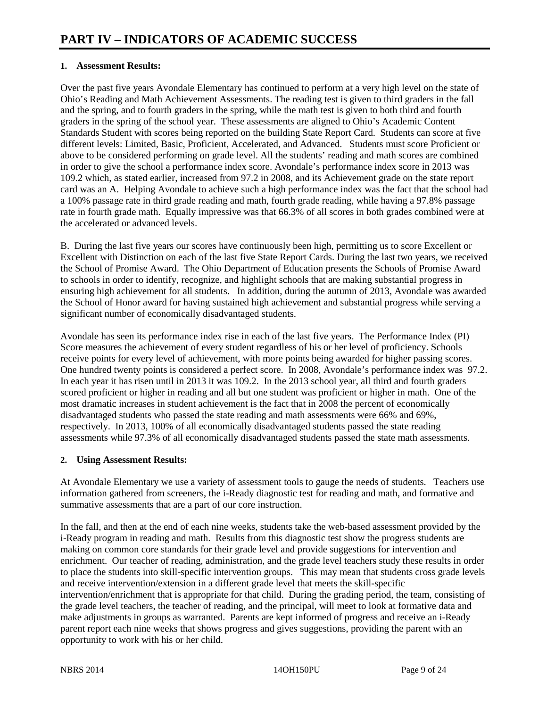#### **1. Assessment Results:**

Over the past five years Avondale Elementary has continued to perform at a very high level on the state of Ohio's Reading and Math Achievement Assessments. The reading test is given to third graders in the fall and the spring, and to fourth graders in the spring, while the math test is given to both third and fourth graders in the spring of the school year. These assessments are aligned to Ohio's Academic Content Standards Student with scores being reported on the building State Report Card. Students can score at five different levels: Limited, Basic, Proficient, Accelerated, and Advanced. Students must score Proficient or above to be considered performing on grade level. All the students' reading and math scores are combined in order to give the school a performance index score. Avondale's performance index score in 2013 was 109.2 which, as stated earlier, increased from 97.2 in 2008, and its Achievement grade on the state report card was an A. Helping Avondale to achieve such a high performance index was the fact that the school had a 100% passage rate in third grade reading and math, fourth grade reading, while having a 97.8% passage rate in fourth grade math. Equally impressive was that 66.3% of all scores in both grades combined were at the accelerated or advanced levels.

B. During the last five years our scores have continuously been high, permitting us to score Excellent or Excellent with Distinction on each of the last five State Report Cards. During the last two years, we received the School of Promise Award. The Ohio Department of Education presents the Schools of Promise Award to schools in order to identify, recognize, and highlight schools that are making substantial progress in ensuring high achievement for all students. In addition, during the autumn of 2013, Avondale was awarded the School of Honor award for having sustained high achievement and substantial progress while serving a significant number of economically disadvantaged students.

Avondale has seen its performance index rise in each of the last five years. The Performance Index (PI) Score measures the achievement of every student regardless of his or her level of proficiency. Schools receive points for every level of achievement, with more points being awarded for higher passing scores. One hundred twenty points is considered a perfect score. In 2008, Avondale's performance index was 97.2. In each year it has risen until in 2013 it was 109.2. In the 2013 school year, all third and fourth graders scored proficient or higher in reading and all but one student was proficient or higher in math. One of the most dramatic increases in student achievement is the fact that in 2008 the percent of economically disadvantaged students who passed the state reading and math assessments were 66% and 69%, respectively. In 2013, 100% of all economically disadvantaged students passed the state reading assessments while 97.3% of all economically disadvantaged students passed the state math assessments.

#### **2. Using Assessment Results:**

At Avondale Elementary we use a variety of assessment tools to gauge the needs of students. Teachers use information gathered from screeners, the i-Ready diagnostic test for reading and math, and formative and summative assessments that are a part of our core instruction.

In the fall, and then at the end of each nine weeks, students take the web-based assessment provided by the i-Ready program in reading and math. Results from this diagnostic test show the progress students are making on common core standards for their grade level and provide suggestions for intervention and enrichment. Our teacher of reading, administration, and the grade level teachers study these results in order to place the students into skill-specific intervention groups. This may mean that students cross grade levels and receive intervention/extension in a different grade level that meets the skill-specific intervention/enrichment that is appropriate for that child. During the grading period, the team, consisting of the grade level teachers, the teacher of reading, and the principal, will meet to look at formative data and make adjustments in groups as warranted. Parents are kept informed of progress and receive an i-Ready parent report each nine weeks that shows progress and gives suggestions, providing the parent with an opportunity to work with his or her child.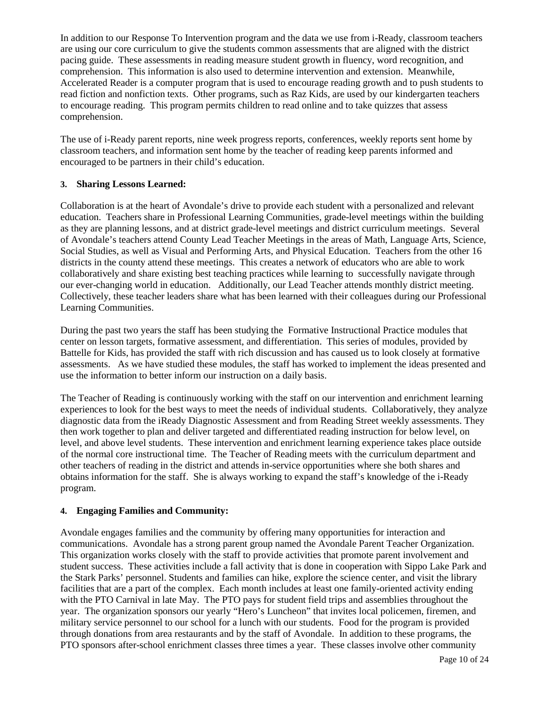In addition to our Response To Intervention program and the data we use from i-Ready, classroom teachers are using our core curriculum to give the students common assessments that are aligned with the district pacing guide. These assessments in reading measure student growth in fluency, word recognition, and comprehension. This information is also used to determine intervention and extension. Meanwhile, Accelerated Reader is a computer program that is used to encourage reading growth and to push students to read fiction and nonfiction texts. Other programs, such as Raz Kids, are used by our kindergarten teachers to encourage reading. This program permits children to read online and to take quizzes that assess comprehension.

The use of i-Ready parent reports, nine week progress reports, conferences, weekly reports sent home by classroom teachers, and information sent home by the teacher of reading keep parents informed and encouraged to be partners in their child's education.

#### **3. Sharing Lessons Learned:**

Collaboration is at the heart of Avondale's drive to provide each student with a personalized and relevant education. Teachers share in Professional Learning Communities, grade-level meetings within the building as they are planning lessons, and at district grade-level meetings and district curriculum meetings. Several of Avondale's teachers attend County Lead Teacher Meetings in the areas of Math, Language Arts, Science, Social Studies, as well as Visual and Performing Arts, and Physical Education. Teachers from the other 16 districts in the county attend these meetings. This creates a network of educators who are able to work collaboratively and share existing best teaching practices while learning to successfully navigate through our ever-changing world in education. Additionally, our Lead Teacher attends monthly district meeting. Collectively, these teacher leaders share what has been learned with their colleagues during our Professional Learning Communities.

During the past two years the staff has been studying the Formative Instructional Practice modules that center on lesson targets, formative assessment, and differentiation. This series of modules, provided by Battelle for Kids, has provided the staff with rich discussion and has caused us to look closely at formative assessments. As we have studied these modules, the staff has worked to implement the ideas presented and use the information to better inform our instruction on a daily basis.

The Teacher of Reading is continuously working with the staff on our intervention and enrichment learning experiences to look for the best ways to meet the needs of individual students. Collaboratively, they analyze diagnostic data from the iReady Diagnostic Assessment and from Reading Street weekly assessments. They then work together to plan and deliver targeted and differentiated reading instruction for below level, on level, and above level students. These intervention and enrichment learning experience takes place outside of the normal core instructional time. The Teacher of Reading meets with the curriculum department and other teachers of reading in the district and attends in-service opportunities where she both shares and obtains information for the staff. She is always working to expand the staff's knowledge of the i-Ready program.

#### **4. Engaging Families and Community:**

Avondale engages families and the community by offering many opportunities for interaction and communications. Avondale has a strong parent group named the Avondale Parent Teacher Organization. This organization works closely with the staff to provide activities that promote parent involvement and student success. These activities include a fall activity that is done in cooperation with Sippo Lake Park and the Stark Parks' personnel. Students and families can hike, explore the science center, and visit the library facilities that are a part of the complex. Each month includes at least one family-oriented activity ending with the PTO Carnival in late May. The PTO pays for student field trips and assemblies throughout the year. The organization sponsors our yearly "Hero's Luncheon" that invites local policemen, firemen, and military service personnel to our school for a lunch with our students. Food for the program is provided through donations from area restaurants and by the staff of Avondale. In addition to these programs, the PTO sponsors after-school enrichment classes three times a year. These classes involve other community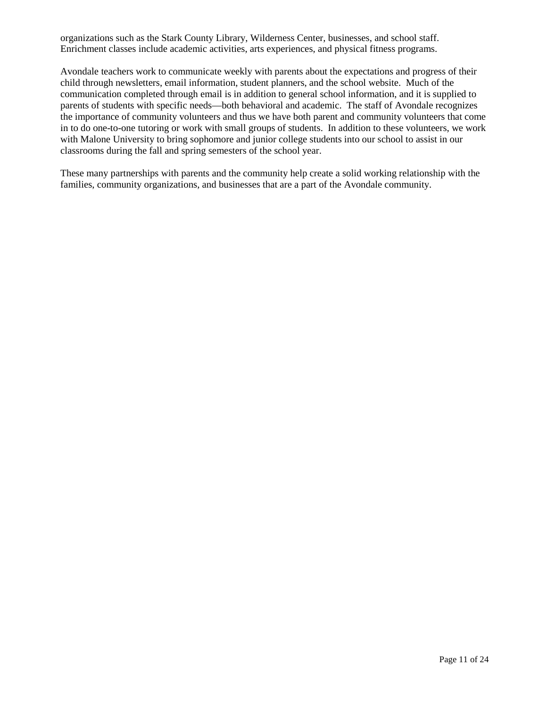organizations such as the Stark County Library, Wilderness Center, businesses, and school staff. Enrichment classes include academic activities, arts experiences, and physical fitness programs.

Avondale teachers work to communicate weekly with parents about the expectations and progress of their child through newsletters, email information, student planners, and the school website. Much of the communication completed through email is in addition to general school information, and it is supplied to parents of students with specific needs—both behavioral and academic. The staff of Avondale recognizes the importance of community volunteers and thus we have both parent and community volunteers that come in to do one-to-one tutoring or work with small groups of students. In addition to these volunteers, we work with Malone University to bring sophomore and junior college students into our school to assist in our classrooms during the fall and spring semesters of the school year.

These many partnerships with parents and the community help create a solid working relationship with the families, community organizations, and businesses that are a part of the Avondale community.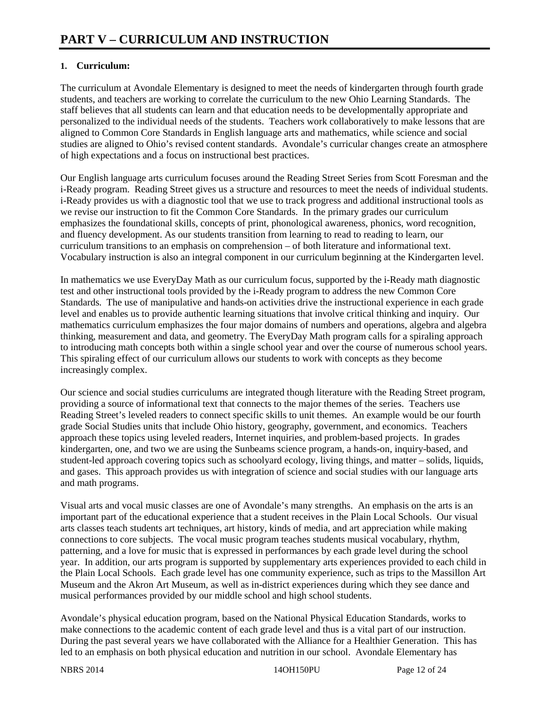#### **1. Curriculum:**

The curriculum at Avondale Elementary is designed to meet the needs of kindergarten through fourth grade students, and teachers are working to correlate the curriculum to the new Ohio Learning Standards. The staff believes that all students can learn and that education needs to be developmentally appropriate and personalized to the individual needs of the students. Teachers work collaboratively to make lessons that are aligned to Common Core Standards in English language arts and mathematics, while science and social studies are aligned to Ohio's revised content standards. Avondale's curricular changes create an atmosphere of high expectations and a focus on instructional best practices.

Our English language arts curriculum focuses around the Reading Street Series from Scott Foresman and the i-Ready program. Reading Street gives us a structure and resources to meet the needs of individual students. i-Ready provides us with a diagnostic tool that we use to track progress and additional instructional tools as we revise our instruction to fit the Common Core Standards. In the primary grades our curriculum emphasizes the foundational skills, concepts of print, phonological awareness, phonics, word recognition, and fluency development. As our students transition from learning to read to reading to learn, our curriculum transitions to an emphasis on comprehension – of both literature and informational text. Vocabulary instruction is also an integral component in our curriculum beginning at the Kindergarten level.

In mathematics we use EveryDay Math as our curriculum focus, supported by the i-Ready math diagnostic test and other instructional tools provided by the i-Ready program to address the new Common Core Standards. The use of manipulative and hands-on activities drive the instructional experience in each grade level and enables us to provide authentic learning situations that involve critical thinking and inquiry. Our mathematics curriculum emphasizes the four major domains of numbers and operations, algebra and algebra thinking, measurement and data, and geometry. The EveryDay Math program calls for a spiraling approach to introducing math concepts both within a single school year and over the course of numerous school years. This spiraling effect of our curriculum allows our students to work with concepts as they become increasingly complex.

Our science and social studies curriculums are integrated though literature with the Reading Street program, providing a source of informational text that connects to the major themes of the series. Teachers use Reading Street's leveled readers to connect specific skills to unit themes. An example would be our fourth grade Social Studies units that include Ohio history, geography, government, and economics. Teachers approach these topics using leveled readers, Internet inquiries, and problem-based projects. In grades kindergarten, one, and two we are using the Sunbeams science program, a hands-on, inquiry-based, and student-led approach covering topics such as schoolyard ecology, living things, and matter – solids, liquids, and gases. This approach provides us with integration of science and social studies with our language arts and math programs.

Visual arts and vocal music classes are one of Avondale's many strengths. An emphasis on the arts is an important part of the educational experience that a student receives in the Plain Local Schools. Our visual arts classes teach students art techniques, art history, kinds of media, and art appreciation while making connections to core subjects. The vocal music program teaches students musical vocabulary, rhythm, patterning, and a love for music that is expressed in performances by each grade level during the school year. In addition, our arts program is supported by supplementary arts experiences provided to each child in the Plain Local Schools. Each grade level has one community experience, such as trips to the Massillon Art Museum and the Akron Art Museum, as well as in-district experiences during which they see dance and musical performances provided by our middle school and high school students.

Avondale's physical education program, based on the National Physical Education Standards, works to make connections to the academic content of each grade level and thus is a vital part of our instruction. During the past several years we have collaborated with the Alliance for a Healthier Generation. This has led to an emphasis on both physical education and nutrition in our school. Avondale Elementary has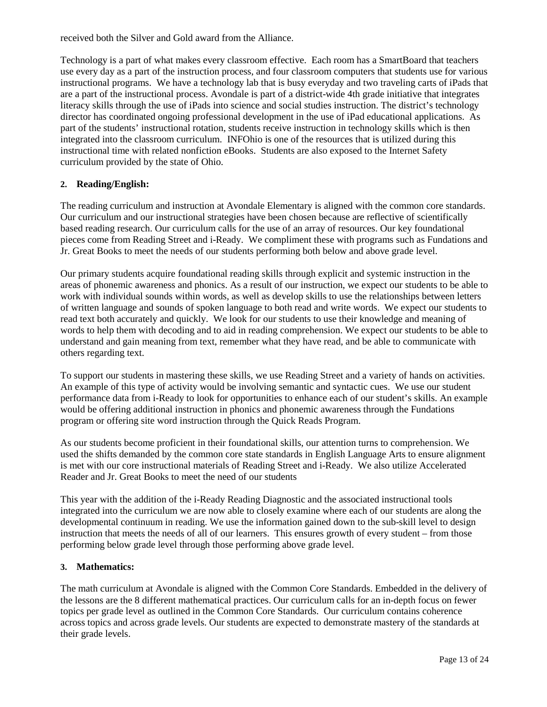received both the Silver and Gold award from the Alliance.

Technology is a part of what makes every classroom effective. Each room has a SmartBoard that teachers use every day as a part of the instruction process, and four classroom computers that students use for various instructional programs. We have a technology lab that is busy everyday and two traveling carts of iPads that are a part of the instructional process. Avondale is part of a district-wide 4th grade initiative that integrates literacy skills through the use of iPads into science and social studies instruction. The district's technology director has coordinated ongoing professional development in the use of iPad educational applications. As part of the students' instructional rotation, students receive instruction in technology skills which is then integrated into the classroom curriculum. INFOhio is one of the resources that is utilized during this instructional time with related nonfiction eBooks. Students are also exposed to the Internet Safety curriculum provided by the state of Ohio.

#### **2. Reading/English:**

The reading curriculum and instruction at Avondale Elementary is aligned with the common core standards. Our curriculum and our instructional strategies have been chosen because are reflective of scientifically based reading research. Our curriculum calls for the use of an array of resources. Our key foundational pieces come from Reading Street and i-Ready. We compliment these with programs such as Fundations and Jr. Great Books to meet the needs of our students performing both below and above grade level.

Our primary students acquire foundational reading skills through explicit and systemic instruction in the areas of phonemic awareness and phonics. As a result of our instruction, we expect our students to be able to work with individual sounds within words, as well as develop skills to use the relationships between letters of written language and sounds of spoken language to both read and write words. We expect our students to read text both accurately and quickly. We look for our students to use their knowledge and meaning of words to help them with decoding and to aid in reading comprehension. We expect our students to be able to understand and gain meaning from text, remember what they have read, and be able to communicate with others regarding text.

To support our students in mastering these skills, we use Reading Street and a variety of hands on activities. An example of this type of activity would be involving semantic and syntactic cues. We use our student performance data from i-Ready to look for opportunities to enhance each of our student's skills. An example would be offering additional instruction in phonics and phonemic awareness through the Fundations program or offering site word instruction through the Quick Reads Program.

As our students become proficient in their foundational skills, our attention turns to comprehension. We used the shifts demanded by the common core state standards in English Language Arts to ensure alignment is met with our core instructional materials of Reading Street and i-Ready. We also utilize Accelerated Reader and Jr. Great Books to meet the need of our students

This year with the addition of the i-Ready Reading Diagnostic and the associated instructional tools integrated into the curriculum we are now able to closely examine where each of our students are along the developmental continuum in reading. We use the information gained down to the sub-skill level to design instruction that meets the needs of all of our learners. This ensures growth of every student – from those performing below grade level through those performing above grade level.

#### **3. Mathematics:**

The math curriculum at Avondale is aligned with the Common Core Standards. Embedded in the delivery of the lessons are the 8 different mathematical practices. Our curriculum calls for an in-depth focus on fewer topics per grade level as outlined in the Common Core Standards. Our curriculum contains coherence across topics and across grade levels. Our students are expected to demonstrate mastery of the standards at their grade levels.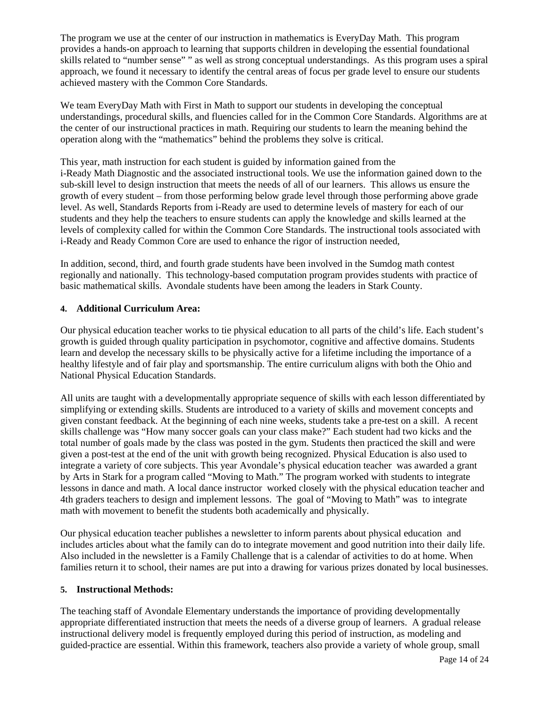The program we use at the center of our instruction in mathematics is EveryDay Math. This program provides a hands-on approach to learning that supports children in developing the essential foundational skills related to "number sense" " as well as strong conceptual understandings. As this program uses a spiral approach, we found it necessary to identify the central areas of focus per grade level to ensure our students achieved mastery with the Common Core Standards.

We team EveryDay Math with First in Math to support our students in developing the conceptual understandings, procedural skills, and fluencies called for in the Common Core Standards. Algorithms are at the center of our instructional practices in math. Requiring our students to learn the meaning behind the operation along with the "mathematics" behind the problems they solve is critical.

This year, math instruction for each student is guided by information gained from the i-Ready Math Diagnostic and the associated instructional tools. We use the information gained down to the sub-skill level to design instruction that meets the needs of all of our learners. This allows us ensure the growth of every student – from those performing below grade level through those performing above grade level. As well, Standards Reports from i-Ready are used to determine levels of mastery for each of our students and they help the teachers to ensure students can apply the knowledge and skills learned at the levels of complexity called for within the Common Core Standards. The instructional tools associated with i-Ready and Ready Common Core are used to enhance the rigor of instruction needed,

In addition, second, third, and fourth grade students have been involved in the Sumdog math contest regionally and nationally. This technology-based computation program provides students with practice of basic mathematical skills. Avondale students have been among the leaders in Stark County.

#### **4. Additional Curriculum Area:**

Our physical education teacher works to tie physical education to all parts of the child's life. Each student's growth is guided through quality participation in psychomotor, cognitive and affective domains. Students learn and develop the necessary skills to be physically active for a lifetime including the importance of a healthy lifestyle and of fair play and sportsmanship. The entire curriculum aligns with both the Ohio and National Physical Education Standards.

All units are taught with a developmentally appropriate sequence of skills with each lesson differentiated by simplifying or extending skills. Students are introduced to a variety of skills and movement concepts and given constant feedback. At the beginning of each nine weeks, students take a pre-test on a skill. A recent skills challenge was "How many soccer goals can your class make?" Each student had two kicks and the total number of goals made by the class was posted in the gym. Students then practiced the skill and were given a post-test at the end of the unit with growth being recognized. Physical Education is also used to integrate a variety of core subjects. This year Avondale's physical education teacher was awarded a grant by Arts in Stark for a program called "Moving to Math." The program worked with students to integrate lessons in dance and math. A local dance instructor worked closely with the physical education teacher and 4th graders teachers to design and implement lessons. The goal of "Moving to Math" was to integrate math with movement to benefit the students both academically and physically.

Our physical education teacher publishes a newsletter to inform parents about physical education and includes articles about what the family can do to integrate movement and good nutrition into their daily life. Also included in the newsletter is a Family Challenge that is a calendar of activities to do at home. When families return it to school, their names are put into a drawing for various prizes donated by local businesses.

#### **5. Instructional Methods:**

The teaching staff of Avondale Elementary understands the importance of providing developmentally appropriate differentiated instruction that meets the needs of a diverse group of learners. A gradual release instructional delivery model is frequently employed during this period of instruction, as modeling and guided-practice are essential. Within this framework, teachers also provide a variety of whole group, small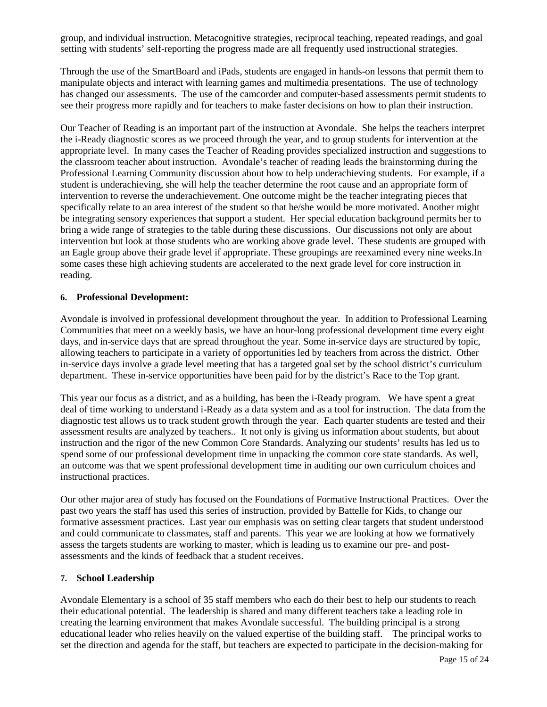group, and individual instruction. Metacognitive strategies, reciprocal teaching, repeated readings, and goal setting with students' self-reporting the progress made are all frequently used instructional strategies.

Through the use of the SmartBoard and iPads, students are engaged in hands-on lessons that permit them to manipulate objects and interact with learning games and multimedia presentations. The use of technology has changed our assessments. The use of the camcorder and computer-based assessments permit students to see their progress more rapidly and for teachers to make faster decisions on how to plan their instruction.

Our Teacher of Reading is an important part of the instruction at Avondale. She helps the teachers interpret the i-Ready diagnostic scores as we proceed through the year, and to group students for intervention at the appropriate level. In many cases the Teacher of Reading provides specialized instruction and suggestions to the classroom teacher about instruction. Avondale's teacher of reading leads the brainstorming during the Professional Learning Community discussion about how to help underachieving students. For example, if a student is underachieving, she will help the teacher determine the root cause and an appropriate form of intervention to reverse the underachievement. One outcome might be the teacher integrating pieces that specifically relate to an area interest of the student so that he/she would be more motivated. Another might be integrating sensory experiences that support a student. Her special education background permits her to bring a wide range of strategies to the table during these discussions. Our discussions not only are about intervention but look at those students who are working above grade level. These students are grouped with an Eagle group above their grade level if appropriate. These groupings are reexamined every nine weeks.In some cases these high achieving students are accelerated to the next grade level for core instruction in reading.

#### **6. Professional Development:**

Avondale is involved in professional development throughout the year. In addition to Professional Learning Communities that meet on a weekly basis, we have an hour-long professional development time every eight days, and in-service days that are spread throughout the year. Some in-service days are structured by topic, allowing teachers to participate in a variety of opportunities led by teachers from across the district. Other in-service days involve a grade level meeting that has a targeted goal set by the school district's curriculum department. These in-service opportunities have been paid for by the district's Race to the Top grant.

This year our focus as a district, and as a building, has been the i-Ready program. We have spent a great deal of time working to understand i-Ready as a data system and as a tool for instruction. The data from the diagnostic test allows us to track student growth through the year. Each quarter students are tested and their assessment results are analyzed by teachers.. It not only is giving us information about students, but about instruction and the rigor of the new Common Core Standards. Analyzing our students' results has led us to spend some of our professional development time in unpacking the common core state standards. As well, an outcome was that we spent professional development time in auditing our own curriculum choices and instructional practices.

Our other major area of study has focused on the Foundations of Formative Instructional Practices. Over the past two years the staff has used this series of instruction, provided by Battelle for Kids, to change our formative assessment practices. Last year our emphasis was on setting clear targets that student understood and could communicate to classmates, staff and parents. This year we are looking at how we formatively assess the targets students are working to master, which is leading us to examine our pre- and postassessments and the kinds of feedback that a student receives.

#### **7. School Leadership**

Avondale Elementary is a school of 35 staff members who each do their best to help our students to reach their educational potential. The leadership is shared and many different teachers take a leading role in creating the learning environment that makes Avondale successful. The building principal is a strong educational leader who relies heavily on the valued expertise of the building staff. The principal works to set the direction and agenda for the staff, but teachers are expected to participate in the decision-making for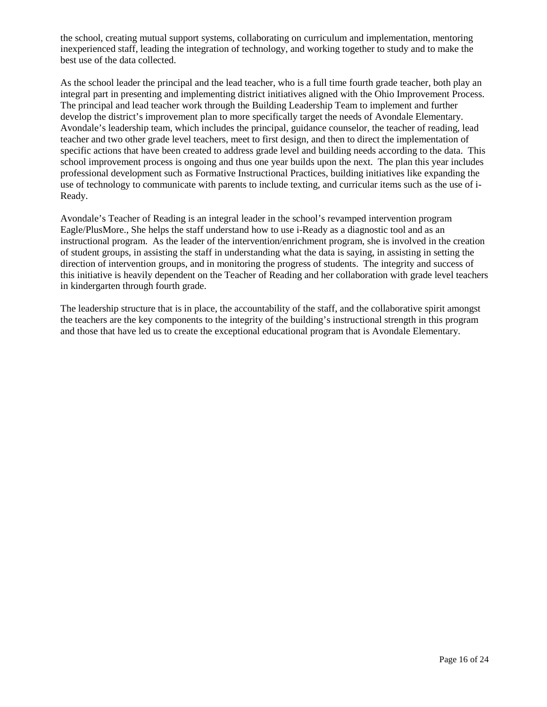the school, creating mutual support systems, collaborating on curriculum and implementation, mentoring inexperienced staff, leading the integration of technology, and working together to study and to make the best use of the data collected.

As the school leader the principal and the lead teacher, who is a full time fourth grade teacher, both play an integral part in presenting and implementing district initiatives aligned with the Ohio Improvement Process. The principal and lead teacher work through the Building Leadership Team to implement and further develop the district's improvement plan to more specifically target the needs of Avondale Elementary. Avondale's leadership team, which includes the principal, guidance counselor, the teacher of reading, lead teacher and two other grade level teachers, meet to first design, and then to direct the implementation of specific actions that have been created to address grade level and building needs according to the data. This school improvement process is ongoing and thus one year builds upon the next. The plan this year includes professional development such as Formative Instructional Practices, building initiatives like expanding the use of technology to communicate with parents to include texting, and curricular items such as the use of i-Ready.

Avondale's Teacher of Reading is an integral leader in the school's revamped intervention program Eagle/PlusMore., She helps the staff understand how to use i-Ready as a diagnostic tool and as an instructional program. As the leader of the intervention/enrichment program, she is involved in the creation of student groups, in assisting the staff in understanding what the data is saying, in assisting in setting the direction of intervention groups, and in monitoring the progress of students. The integrity and success of this initiative is heavily dependent on the Teacher of Reading and her collaboration with grade level teachers in kindergarten through fourth grade.

The leadership structure that is in place, the accountability of the staff, and the collaborative spirit amongst the teachers are the key components to the integrity of the building's instructional strength in this program and those that have led us to create the exceptional educational program that is Avondale Elementary.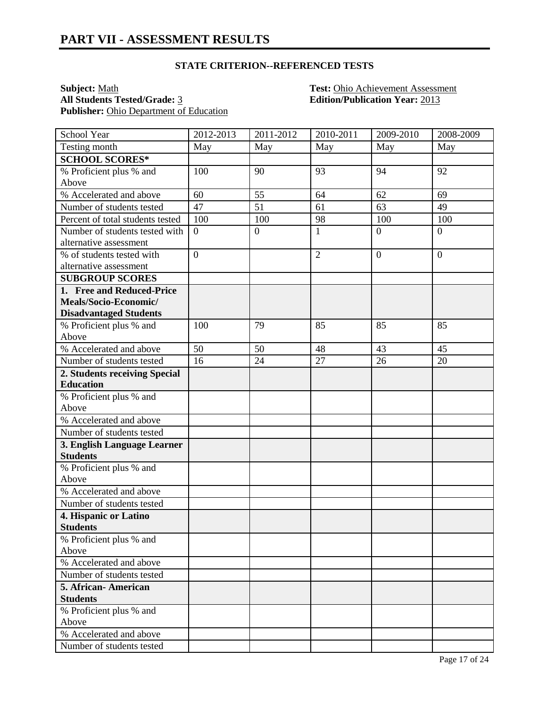#### **STATE CRITERION--REFERENCED TESTS**

**Subject:** <u>Math **Test:** Ohio Achievement Assessment</u><br> **All Students Tested/Grade:** <u>3</u> **Test: Chio Achievement Assessment**<br> **Edition/Publication Year:** 2013 Publisher: Ohio Department of Education

**All Students Tested/Grade:** 3 **Edition/Publication Year:** 2013

| School Year                      | 2012-2013      | 2011-2012        | 2010-2011      | 2009-2010      | 2008-2009      |
|----------------------------------|----------------|------------------|----------------|----------------|----------------|
| Testing month                    | May            | May              | May            | May            | May            |
| <b>SCHOOL SCORES*</b>            |                |                  |                |                |                |
| % Proficient plus % and          | 100            | 90               | 93             | 94             | 92             |
| Above                            |                |                  |                |                |                |
| % Accelerated and above          | 60             | 55               | 64             | 62             | 69             |
| Number of students tested        | 47             | 51               | 61             | 63             | 49             |
| Percent of total students tested | 100            | 100              | 98             | 100            | 100            |
| Number of students tested with   | $\overline{0}$ | $\boldsymbol{0}$ | 1              | $\overline{0}$ | $\overline{0}$ |
| alternative assessment           |                |                  |                |                |                |
| % of students tested with        | $\overline{0}$ |                  | $\overline{2}$ | $\overline{0}$ | $\overline{0}$ |
| alternative assessment           |                |                  |                |                |                |
| <b>SUBGROUP SCORES</b>           |                |                  |                |                |                |
| 1. Free and Reduced-Price        |                |                  |                |                |                |
| Meals/Socio-Economic/            |                |                  |                |                |                |
| <b>Disadvantaged Students</b>    |                |                  |                |                |                |
| % Proficient plus % and          | 100            | 79               | 85             | 85             | 85             |
| Above                            |                |                  |                |                |                |
| % Accelerated and above          | 50             | 50               | 48             | 43             | 45             |
| Number of students tested        | 16             | 24               | 27             | 26             | 20             |
| 2. Students receiving Special    |                |                  |                |                |                |
| <b>Education</b>                 |                |                  |                |                |                |
| % Proficient plus % and          |                |                  |                |                |                |
| Above                            |                |                  |                |                |                |
| % Accelerated and above          |                |                  |                |                |                |
| Number of students tested        |                |                  |                |                |                |
| 3. English Language Learner      |                |                  |                |                |                |
| <b>Students</b>                  |                |                  |                |                |                |
| % Proficient plus % and          |                |                  |                |                |                |
| Above                            |                |                  |                |                |                |
| % Accelerated and above          |                |                  |                |                |                |
| Number of students tested        |                |                  |                |                |                |
| 4. Hispanic or Latino            |                |                  |                |                |                |
| <b>Students</b>                  |                |                  |                |                |                |
| % Proficient plus % and          |                |                  |                |                |                |
| Above                            |                |                  |                |                |                |
| % Accelerated and above          |                |                  |                |                |                |
| Number of students tested        |                |                  |                |                |                |
| 5. African-American              |                |                  |                |                |                |
| <b>Students</b>                  |                |                  |                |                |                |
| % Proficient plus % and          |                |                  |                |                |                |
| Above<br>% Accelerated and above |                |                  |                |                |                |
|                                  |                |                  |                |                |                |
| Number of students tested        |                |                  |                |                |                |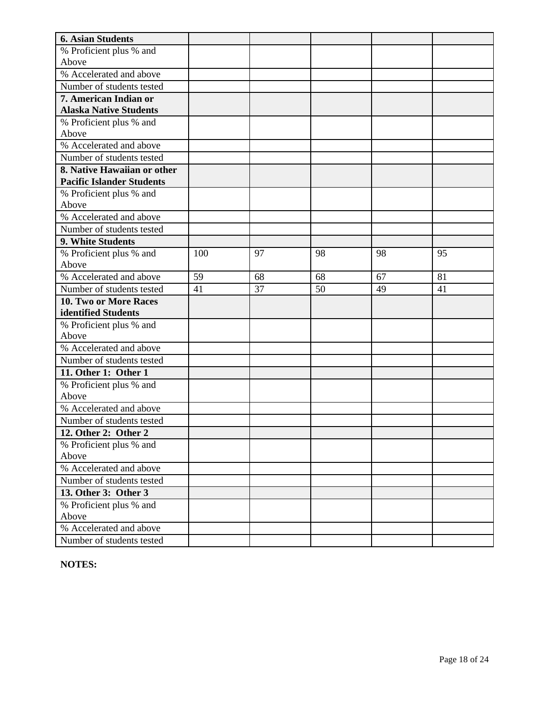| <b>6. Asian Students</b>         |     |    |    |    |    |
|----------------------------------|-----|----|----|----|----|
| % Proficient plus % and          |     |    |    |    |    |
| Above                            |     |    |    |    |    |
| % Accelerated and above          |     |    |    |    |    |
| Number of students tested        |     |    |    |    |    |
| 7. American Indian or            |     |    |    |    |    |
| <b>Alaska Native Students</b>    |     |    |    |    |    |
| % Proficient plus % and          |     |    |    |    |    |
| Above                            |     |    |    |    |    |
| % Accelerated and above          |     |    |    |    |    |
| Number of students tested        |     |    |    |    |    |
| 8. Native Hawaiian or other      |     |    |    |    |    |
| <b>Pacific Islander Students</b> |     |    |    |    |    |
| % Proficient plus % and          |     |    |    |    |    |
| Above                            |     |    |    |    |    |
| % Accelerated and above          |     |    |    |    |    |
| Number of students tested        |     |    |    |    |    |
| 9. White Students                |     |    |    |    |    |
| % Proficient plus % and          | 100 | 97 | 98 | 98 | 95 |
| Above                            |     |    |    |    |    |
| % Accelerated and above          | 59  | 68 | 68 | 67 | 81 |
| Number of students tested        | 41  | 37 | 50 | 49 | 41 |
| 10. Two or More Races            |     |    |    |    |    |
| identified Students              |     |    |    |    |    |
| % Proficient plus % and          |     |    |    |    |    |
| Above                            |     |    |    |    |    |
| % Accelerated and above          |     |    |    |    |    |
| Number of students tested        |     |    |    |    |    |
| 11. Other 1: Other 1             |     |    |    |    |    |
| % Proficient plus % and          |     |    |    |    |    |
| Above                            |     |    |    |    |    |
| % Accelerated and above          |     |    |    |    |    |
| Number of students tested        |     |    |    |    |    |
| 12. Other 2: Other 2             |     |    |    |    |    |
| % Proficient plus % and          |     |    |    |    |    |
| Above                            |     |    |    |    |    |
| % Accelerated and above          |     |    |    |    |    |
| Number of students tested        |     |    |    |    |    |
| 13. Other 3: Other 3             |     |    |    |    |    |
| % Proficient plus % and          |     |    |    |    |    |
| Above                            |     |    |    |    |    |
| % Accelerated and above          |     |    |    |    |    |
| Number of students tested        |     |    |    |    |    |

**NOTES:**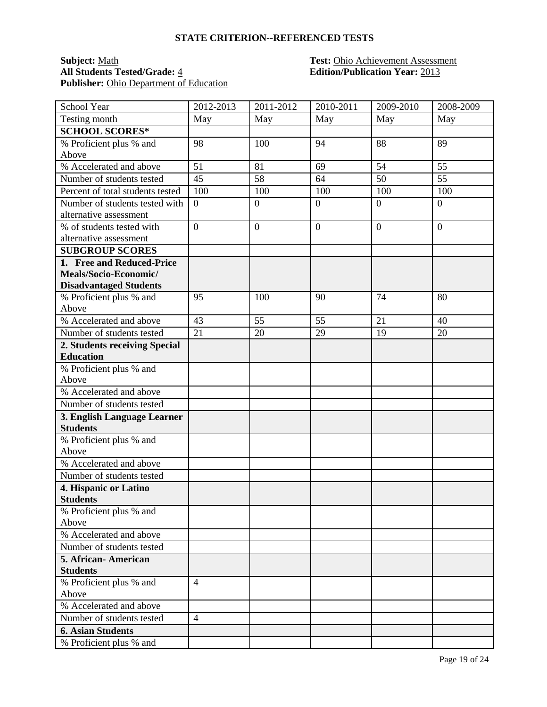#### **STATE CRITERION--REFERENCED TESTS**

### **Subject:** <u>Math **Test:** Ohio Achievement Assessment</u><br> **All Students Tested/Grade:** <u>4</u> **Test: Chio Achievement Assessment**<br> **Edition/Publication Year:** 2013 Publisher: Ohio Department of Education

# **All Students Tested/Grade:** 4 **Edition/Publication Year:** 2013

| School Year                                | 2012-2013      | 2011-2012        | 2010-2011    | 2009-2010      | 2008-2009      |
|--------------------------------------------|----------------|------------------|--------------|----------------|----------------|
| Testing month                              | May            | May              | May          | May            | May            |
| <b>SCHOOL SCORES*</b>                      |                |                  |              |                |                |
| % Proficient plus % and                    | 98             | 100              | 94           | 88             | 89             |
| Above                                      |                |                  |              |                |                |
| % Accelerated and above                    | 51             | 81               | 69           | 54             | 55             |
| Number of students tested                  | 45             | 58               | 64           | 50             | 55             |
| Percent of total students tested           | 100            | 100              | 100          | 100            | 100            |
| Number of students tested with             | $\overline{0}$ | $\boldsymbol{0}$ | $\mathbf{0}$ | $\overline{0}$ | $\overline{0}$ |
| alternative assessment                     |                |                  |              |                |                |
| % of students tested with                  | $\overline{0}$ | $\overline{0}$   | $\mathbf{0}$ | $\overline{0}$ | $\overline{0}$ |
| alternative assessment                     |                |                  |              |                |                |
| <b>SUBGROUP SCORES</b>                     |                |                  |              |                |                |
| 1. Free and Reduced-Price                  |                |                  |              |                |                |
| Meals/Socio-Economic/                      |                |                  |              |                |                |
| <b>Disadvantaged Students</b>              |                |                  |              |                |                |
| % Proficient plus % and<br>Above           | 95             | 100              | 90           | 74             | 80             |
| % Accelerated and above                    | 43             | 55               | 55           | 21             | 40             |
| Number of students tested                  | 21             | 20               | 29           | 19             | 20             |
| 2. Students receiving Special              |                |                  |              |                |                |
| <b>Education</b>                           |                |                  |              |                |                |
| % Proficient plus % and                    |                |                  |              |                |                |
| Above                                      |                |                  |              |                |                |
| % Accelerated and above                    |                |                  |              |                |                |
| Number of students tested                  |                |                  |              |                |                |
| 3. English Language Learner                |                |                  |              |                |                |
| <b>Students</b>                            |                |                  |              |                |                |
| % Proficient plus % and                    |                |                  |              |                |                |
| Above                                      |                |                  |              |                |                |
| % Accelerated and above                    |                |                  |              |                |                |
| Number of students tested                  |                |                  |              |                |                |
| 4. Hispanic or Latino                      |                |                  |              |                |                |
| <b>Students</b>                            |                |                  |              |                |                |
| % Proficient plus % and                    |                |                  |              |                |                |
| Above                                      |                |                  |              |                |                |
| % Accelerated and above                    |                |                  |              |                |                |
| Number of students tested                  |                |                  |              |                |                |
| 5. African-American                        |                |                  |              |                |                |
| <b>Students</b><br>% Proficient plus % and | $\overline{4}$ |                  |              |                |                |
| Above                                      |                |                  |              |                |                |
| % Accelerated and above                    |                |                  |              |                |                |
| Number of students tested                  | $\overline{4}$ |                  |              |                |                |
| <b>6. Asian Students</b>                   |                |                  |              |                |                |
| % Proficient plus % and                    |                |                  |              |                |                |
|                                            |                |                  |              |                |                |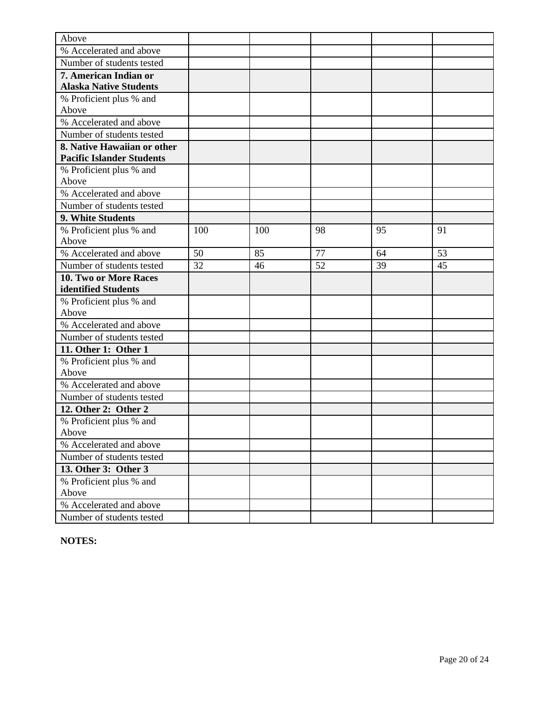| Above                            |     |     |    |    |    |
|----------------------------------|-----|-----|----|----|----|
| % Accelerated and above          |     |     |    |    |    |
| Number of students tested        |     |     |    |    |    |
| 7. American Indian or            |     |     |    |    |    |
| <b>Alaska Native Students</b>    |     |     |    |    |    |
| % Proficient plus % and          |     |     |    |    |    |
| Above                            |     |     |    |    |    |
| % Accelerated and above          |     |     |    |    |    |
| Number of students tested        |     |     |    |    |    |
| 8. Native Hawaiian or other      |     |     |    |    |    |
| <b>Pacific Islander Students</b> |     |     |    |    |    |
| % Proficient plus % and          |     |     |    |    |    |
| Above                            |     |     |    |    |    |
| % Accelerated and above          |     |     |    |    |    |
| Number of students tested        |     |     |    |    |    |
| 9. White Students                |     |     |    |    |    |
| % Proficient plus % and          | 100 | 100 | 98 | 95 | 91 |
| Above                            |     |     |    |    |    |
| % Accelerated and above          | 50  | 85  | 77 | 64 | 53 |
| Number of students tested        | 32  | 46  | 52 | 39 | 45 |
| 10. Two or More Races            |     |     |    |    |    |
| identified Students              |     |     |    |    |    |
| % Proficient plus % and          |     |     |    |    |    |
| Above                            |     |     |    |    |    |
| % Accelerated and above          |     |     |    |    |    |
| Number of students tested        |     |     |    |    |    |
| 11. Other 1: Other 1             |     |     |    |    |    |
| % Proficient plus % and          |     |     |    |    |    |
| Above                            |     |     |    |    |    |
| % Accelerated and above          |     |     |    |    |    |
| Number of students tested        |     |     |    |    |    |
| 12. Other 2: Other 2             |     |     |    |    |    |
| % Proficient plus % and          |     |     |    |    |    |
| Above                            |     |     |    |    |    |
| % Accelerated and above          |     |     |    |    |    |
| Number of students tested        |     |     |    |    |    |
| 13. Other 3: Other 3             |     |     |    |    |    |
| % Proficient plus % and          |     |     |    |    |    |
| Above                            |     |     |    |    |    |
| % Accelerated and above          |     |     |    |    |    |
| Number of students tested        |     |     |    |    |    |

**NOTES:**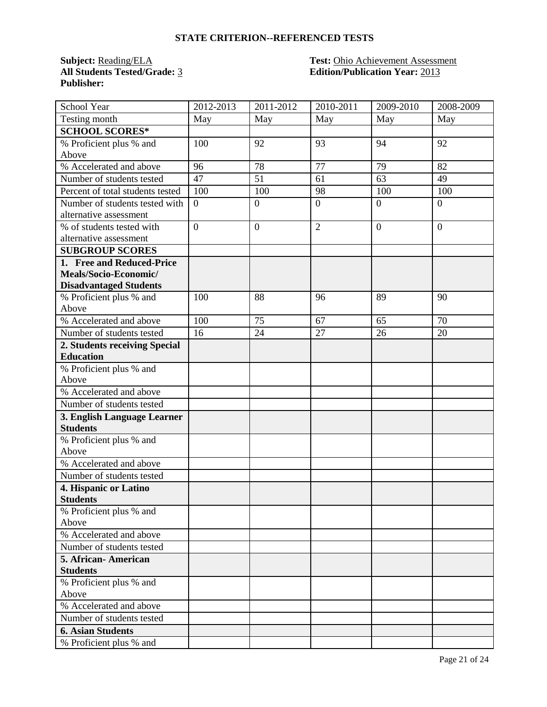#### **STATE CRITERION--REFERENCED TESTS**

**All Students Tested/Grade:** 3 **Edition/Publication Year:** 2013 **Publisher:** 

## **Subject:** Reading/ELA **Test:** Ohio Achievement Assessment

| School Year                                       | 2012-2013      | 2011-2012        | 2010-2011      | 2009-2010      | 2008-2009 |
|---------------------------------------------------|----------------|------------------|----------------|----------------|-----------|
| Testing month                                     | May            | May              | May            | May            | May       |
| <b>SCHOOL SCORES*</b>                             |                |                  |                |                |           |
| % Proficient plus % and                           | 100            | 92               | 93             | 94             | 92        |
| Above                                             |                |                  |                |                |           |
| % Accelerated and above                           | 96             | 78               | 77             | 79             | 82        |
| Number of students tested                         | 47             | 51               | 61             | 63             | 49        |
| Percent of total students tested                  | 100            | 100              | 98             | 100            | 100       |
| Number of students tested with                    | $\overline{0}$ | $\overline{0}$   | $\mathbf{0}$   | $\overline{0}$ | $\theta$  |
| alternative assessment                            |                |                  |                |                |           |
| % of students tested with                         | $\overline{0}$ | $\boldsymbol{0}$ | $\overline{2}$ | $\overline{0}$ | $\theta$  |
| alternative assessment                            |                |                  |                |                |           |
| <b>SUBGROUP SCORES</b>                            |                |                  |                |                |           |
| 1. Free and Reduced-Price                         |                |                  |                |                |           |
| Meals/Socio-Economic/                             |                |                  |                |                |           |
| <b>Disadvantaged Students</b>                     |                |                  |                |                |           |
| % Proficient plus % and                           | 100            | 88               | 96             | 89             | 90        |
| Above                                             | 100            | 75               | 67             | 65             | 70        |
| % Accelerated and above                           |                |                  |                |                |           |
| Number of students tested                         | 16             | 24               | 27             | 26             | 20        |
| 2. Students receiving Special<br><b>Education</b> |                |                  |                |                |           |
|                                                   |                |                  |                |                |           |
| % Proficient plus % and<br>Above                  |                |                  |                |                |           |
| % Accelerated and above                           |                |                  |                |                |           |
| Number of students tested                         |                |                  |                |                |           |
| 3. English Language Learner                       |                |                  |                |                |           |
| <b>Students</b>                                   |                |                  |                |                |           |
| % Proficient plus % and                           |                |                  |                |                |           |
| Above                                             |                |                  |                |                |           |
| % Accelerated and above                           |                |                  |                |                |           |
| Number of students tested                         |                |                  |                |                |           |
| 4. Hispanic or Latino                             |                |                  |                |                |           |
| <b>Students</b>                                   |                |                  |                |                |           |
| % Proficient plus % and                           |                |                  |                |                |           |
| Above                                             |                |                  |                |                |           |
| % Accelerated and above                           |                |                  |                |                |           |
| Number of students tested                         |                |                  |                |                |           |
| 5. African-American                               |                |                  |                |                |           |
| <b>Students</b>                                   |                |                  |                |                |           |
| % Proficient plus % and                           |                |                  |                |                |           |
| Above                                             |                |                  |                |                |           |
| % Accelerated and above                           |                |                  |                |                |           |
| Number of students tested                         |                |                  |                |                |           |
| <b>6. Asian Students</b>                          |                |                  |                |                |           |
| % Proficient plus % and                           |                |                  |                |                |           |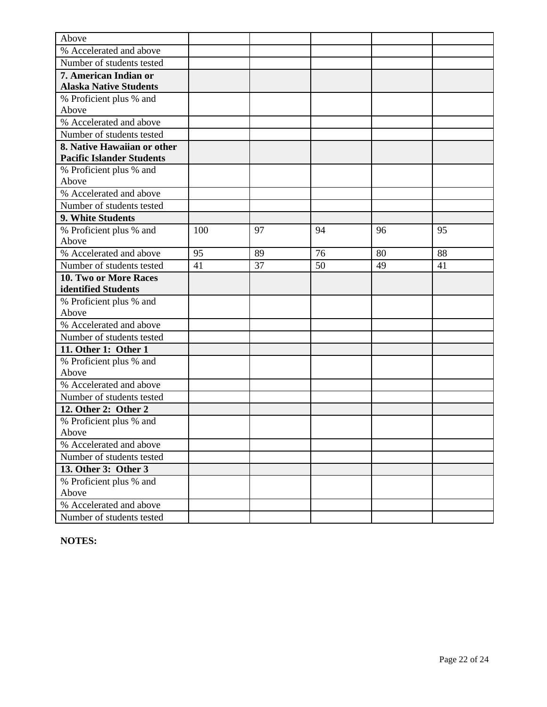| Above                            |     |    |    |    |    |
|----------------------------------|-----|----|----|----|----|
| % Accelerated and above          |     |    |    |    |    |
| Number of students tested        |     |    |    |    |    |
| 7. American Indian or            |     |    |    |    |    |
| <b>Alaska Native Students</b>    |     |    |    |    |    |
| % Proficient plus % and          |     |    |    |    |    |
| Above                            |     |    |    |    |    |
| % Accelerated and above          |     |    |    |    |    |
| Number of students tested        |     |    |    |    |    |
| 8. Native Hawaiian or other      |     |    |    |    |    |
| <b>Pacific Islander Students</b> |     |    |    |    |    |
| % Proficient plus % and          |     |    |    |    |    |
| Above                            |     |    |    |    |    |
| % Accelerated and above          |     |    |    |    |    |
| Number of students tested        |     |    |    |    |    |
| 9. White Students                |     |    |    |    |    |
| % Proficient plus % and          | 100 | 97 | 94 | 96 | 95 |
| Above                            |     |    |    |    |    |
| % Accelerated and above          | 95  | 89 | 76 | 80 | 88 |
| Number of students tested        | 41  | 37 | 50 | 49 | 41 |
| 10. Two or More Races            |     |    |    |    |    |
| identified Students              |     |    |    |    |    |
| % Proficient plus % and          |     |    |    |    |    |
| Above                            |     |    |    |    |    |
| % Accelerated and above          |     |    |    |    |    |
| Number of students tested        |     |    |    |    |    |
| 11. Other 1: Other 1             |     |    |    |    |    |
| % Proficient plus % and          |     |    |    |    |    |
| Above                            |     |    |    |    |    |
| % Accelerated and above          |     |    |    |    |    |
| Number of students tested        |     |    |    |    |    |
| 12. Other 2: Other 2             |     |    |    |    |    |
| % Proficient plus % and          |     |    |    |    |    |
| Above                            |     |    |    |    |    |
| % Accelerated and above          |     |    |    |    |    |
| Number of students tested        |     |    |    |    |    |
| 13. Other 3: Other 3             |     |    |    |    |    |
| % Proficient plus % and          |     |    |    |    |    |
| Above                            |     |    |    |    |    |
| % Accelerated and above          |     |    |    |    |    |
| Number of students tested        |     |    |    |    |    |

**NOTES:**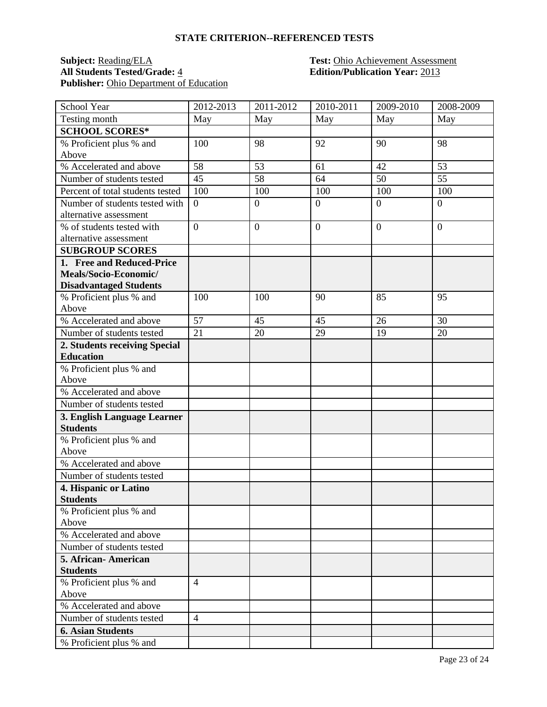#### **STATE CRITERION--REFERENCED TESTS**

## **Subject:** <u>Reading/ELA</u> **Test:** Ohio Achievement Assessment<br> **All Students Tested/Grade:** 4 **Edition/Publication Year:** 2013 Publisher: Ohio Department of Education

# **All Students Tested/Grade:** 4 **Edition/Publication Year:** 2013

| School Year                                                                                                                                                                                                                                                                                                                                                                                                                                                                                                                                                                                                                      | 2012-2013                        | 2011-2012        | 2010-2011        | 2009-2010      | 2008-2009      |
|----------------------------------------------------------------------------------------------------------------------------------------------------------------------------------------------------------------------------------------------------------------------------------------------------------------------------------------------------------------------------------------------------------------------------------------------------------------------------------------------------------------------------------------------------------------------------------------------------------------------------------|----------------------------------|------------------|------------------|----------------|----------------|
| Testing month                                                                                                                                                                                                                                                                                                                                                                                                                                                                                                                                                                                                                    | May                              | May              | May              | May            | May            |
| <b>SCHOOL SCORES*</b>                                                                                                                                                                                                                                                                                                                                                                                                                                                                                                                                                                                                            |                                  |                  |                  |                |                |
| % Proficient plus % and                                                                                                                                                                                                                                                                                                                                                                                                                                                                                                                                                                                                          | 100                              | 98               | 92               | 90             | 98             |
| Above                                                                                                                                                                                                                                                                                                                                                                                                                                                                                                                                                                                                                            |                                  |                  |                  |                |                |
| % Accelerated and above                                                                                                                                                                                                                                                                                                                                                                                                                                                                                                                                                                                                          | 58                               | 53               | 61               | 42             | 53             |
| Number of students tested                                                                                                                                                                                                                                                                                                                                                                                                                                                                                                                                                                                                        | 45                               | 58               | 64               | 50             | 55             |
| Percent of total students tested                                                                                                                                                                                                                                                                                                                                                                                                                                                                                                                                                                                                 | 100                              | 100              | 100              | 100            | 100            |
| Number of students tested with                                                                                                                                                                                                                                                                                                                                                                                                                                                                                                                                                                                                   | $\overline{0}$                   | $\overline{0}$   | $\overline{0}$   | $\overline{0}$ | $\overline{0}$ |
| alternative assessment                                                                                                                                                                                                                                                                                                                                                                                                                                                                                                                                                                                                           |                                  |                  |                  |                |                |
| % of students tested with                                                                                                                                                                                                                                                                                                                                                                                                                                                                                                                                                                                                        | $\overline{0}$                   | $\boldsymbol{0}$ | $\boldsymbol{0}$ | $\overline{0}$ | $\theta$       |
| alternative assessment                                                                                                                                                                                                                                                                                                                                                                                                                                                                                                                                                                                                           |                                  |                  |                  |                |                |
| <b>SUBGROUP SCORES</b>                                                                                                                                                                                                                                                                                                                                                                                                                                                                                                                                                                                                           |                                  |                  |                  |                |                |
| 1. Free and Reduced-Price                                                                                                                                                                                                                                                                                                                                                                                                                                                                                                                                                                                                        |                                  |                  |                  |                |                |
| Meals/Socio-Economic/                                                                                                                                                                                                                                                                                                                                                                                                                                                                                                                                                                                                            |                                  |                  |                  |                |                |
| <b>Disadvantaged Students</b>                                                                                                                                                                                                                                                                                                                                                                                                                                                                                                                                                                                                    |                                  |                  |                  |                |                |
| % Proficient plus % and                                                                                                                                                                                                                                                                                                                                                                                                                                                                                                                                                                                                          | 100                              | 100              | 90               | 85             | 95             |
| Above                                                                                                                                                                                                                                                                                                                                                                                                                                                                                                                                                                                                                            |                                  |                  |                  |                |                |
| % Accelerated and above                                                                                                                                                                                                                                                                                                                                                                                                                                                                                                                                                                                                          | 57                               | 45               | 45               | 26             | 30             |
| Number of students tested                                                                                                                                                                                                                                                                                                                                                                                                                                                                                                                                                                                                        | $\overline{21}$                  | 20               | 29               | 19             | 20             |
|                                                                                                                                                                                                                                                                                                                                                                                                                                                                                                                                                                                                                                  |                                  |                  |                  |                |                |
|                                                                                                                                                                                                                                                                                                                                                                                                                                                                                                                                                                                                                                  |                                  |                  |                  |                |                |
|                                                                                                                                                                                                                                                                                                                                                                                                                                                                                                                                                                                                                                  |                                  |                  |                  |                |                |
|                                                                                                                                                                                                                                                                                                                                                                                                                                                                                                                                                                                                                                  |                                  |                  |                  |                |                |
|                                                                                                                                                                                                                                                                                                                                                                                                                                                                                                                                                                                                                                  |                                  |                  |                  |                |                |
|                                                                                                                                                                                                                                                                                                                                                                                                                                                                                                                                                                                                                                  |                                  |                  |                  |                |                |
|                                                                                                                                                                                                                                                                                                                                                                                                                                                                                                                                                                                                                                  |                                  |                  |                  |                |                |
|                                                                                                                                                                                                                                                                                                                                                                                                                                                                                                                                                                                                                                  |                                  |                  |                  |                |                |
|                                                                                                                                                                                                                                                                                                                                                                                                                                                                                                                                                                                                                                  |                                  |                  |                  |                |                |
|                                                                                                                                                                                                                                                                                                                                                                                                                                                                                                                                                                                                                                  |                                  |                  |                  |                |                |
|                                                                                                                                                                                                                                                                                                                                                                                                                                                                                                                                                                                                                                  |                                  |                  |                  |                |                |
|                                                                                                                                                                                                                                                                                                                                                                                                                                                                                                                                                                                                                                  |                                  |                  |                  |                |                |
|                                                                                                                                                                                                                                                                                                                                                                                                                                                                                                                                                                                                                                  |                                  |                  |                  |                |                |
|                                                                                                                                                                                                                                                                                                                                                                                                                                                                                                                                                                                                                                  |                                  |                  |                  |                |                |
|                                                                                                                                                                                                                                                                                                                                                                                                                                                                                                                                                                                                                                  |                                  |                  |                  |                |                |
|                                                                                                                                                                                                                                                                                                                                                                                                                                                                                                                                                                                                                                  |                                  |                  |                  |                |                |
|                                                                                                                                                                                                                                                                                                                                                                                                                                                                                                                                                                                                                                  |                                  |                  |                  |                |                |
|                                                                                                                                                                                                                                                                                                                                                                                                                                                                                                                                                                                                                                  |                                  |                  |                  |                |                |
|                                                                                                                                                                                                                                                                                                                                                                                                                                                                                                                                                                                                                                  |                                  |                  |                  |                |                |
|                                                                                                                                                                                                                                                                                                                                                                                                                                                                                                                                                                                                                                  |                                  |                  |                  |                |                |
|                                                                                                                                                                                                                                                                                                                                                                                                                                                                                                                                                                                                                                  |                                  |                  |                  |                |                |
|                                                                                                                                                                                                                                                                                                                                                                                                                                                                                                                                                                                                                                  |                                  |                  |                  |                |                |
|                                                                                                                                                                                                                                                                                                                                                                                                                                                                                                                                                                                                                                  |                                  |                  |                  |                |                |
|                                                                                                                                                                                                                                                                                                                                                                                                                                                                                                                                                                                                                                  |                                  |                  |                  |                |                |
|                                                                                                                                                                                                                                                                                                                                                                                                                                                                                                                                                                                                                                  |                                  |                  |                  |                |                |
| 2. Students receiving Special<br><b>Education</b><br>% Proficient plus % and<br>Above<br>% Accelerated and above<br>Number of students tested<br>3. English Language Learner<br><b>Students</b><br>% Proficient plus % and<br>Above<br>% Accelerated and above<br>Number of students tested<br>4. Hispanic or Latino<br><b>Students</b><br>% Proficient plus % and<br>Above<br>% Accelerated and above<br>Number of students tested<br>5. African-American<br><b>Students</b><br>% Proficient plus % and<br>Above<br>% Accelerated and above<br>Number of students tested<br><b>6. Asian Students</b><br>% Proficient plus % and | $\overline{4}$<br>$\overline{4}$ |                  |                  |                |                |